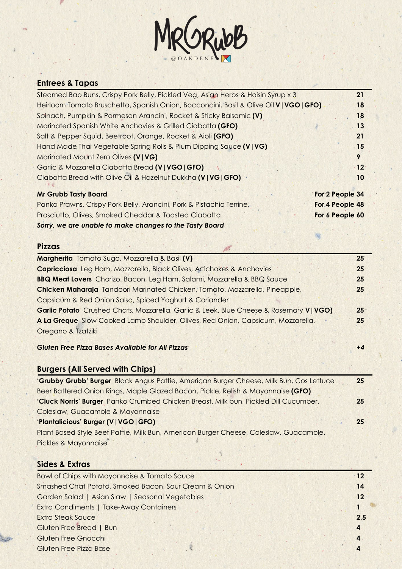

# **Entrees & Tapas**

| Steamed Bao Buns, Crispy Pork Belly, Pickled Veg, Asian Herbs & Hoisin Syrup x 3        | 21              |
|-----------------------------------------------------------------------------------------|-----------------|
| Heirloom Tomato Bruschetta, Spanish Onion, Bocconcini, Basil & Olive Oil V   VGO   GFO) | 18              |
| Spinach, Pumpkin & Parmesan Arancini, Rocket & Sticky Balsamic (V)                      | 18              |
| Marinated Spanish White Anchovies & Grilled Ciabatta (GFO)                              | 13              |
| Salt & Pepper Squid, Beetroot, Orange, Rocket & Aioli (GFO)                             | 21              |
| Hand Made Thai Vegetable Spring Rolls & Plum Dipping Sauce (V   VG)                     | 15              |
| Marinated Mount Zero Olives (V   VG)                                                    | 9               |
| Garlic & Mozzarella Ciabatta Bread (V   VGO   GFO)                                      | $12^{\circ}$    |
| Ciabatta Bread with Olive Oil & Hazelnut Dukkha (V   VG   GFO)                          | 10              |
| <b>Mr Grubb Tasty Board</b>                                                             | For 2 People 34 |
| Panko Prawns, Crispy Pork Belly, Arancini, Pork & Pistachio Terrine,                    | For 4 People 48 |
| Prosciutto, Olives, Smoked Cheddar & Toasted Ciabatta                                   | For 6 People 60 |

*Sorry, we are unable to make changes to the Tasty Board*

#### **Pizzas**

| Margherita Tomato Sugo, Mozzarella & Basil (V)                                          | 25           |
|-----------------------------------------------------------------------------------------|--------------|
| Capricciosa Leg Ham, Mozzarella, Black Olives, Artichokes & Anchovies                   | 25           |
| <b>BBQ Meat Lovers</b> Chorizo, Bacon, Leg Ham, Salami, Mozzarella & BBQ Sauce          | 25           |
| Chicken Maharaja Tandoori Marinated Chicken, Tomato, Mozzarella, Pineapple,             | 25           |
| Capsicum & Red Onion Salsa, Spiced Yoghurt & Coriander                                  |              |
| Garlic Potato Crushed Chats, Mozzarella, Garlic & Leek, Blue Cheese & Rosemary V   VGO) | $25^{\circ}$ |
| A La Greque Slow Cooked Lamb Shoulder, Olives, Red Onion, Capsicum, Mozzarella,         | 25           |
| Oregano & Tzatziki                                                                      |              |

### *Gluten Free Pizza Bases Available for All Pizzas* **+***4*

# **Burgers (All Served with Chips)**

| 'Grubby Grubb' Burger Black Angus Pattie, American Burger Cheese, Milk Bun, Cos Lettuce | 25 |
|-----------------------------------------------------------------------------------------|----|
| Beer Battered Onion Rings, Maple Glazed Bacon, Pickle, Relish & Mayonnaise (GFO)        |    |
| 'Cluck Norris' Burger Panko Crumbed Chicken Breast, Milk bun, Pickled Dill Cucumber,    | 25 |
| Coleslaw, Guacamole & Mayonnaise                                                        |    |
| 'Plantalicious' Burger (V   VGO   GFO)                                                  | 25 |
| Plant Based Style Beef Pattie, Milk Bun, American Burger Cheese, Coleslaw, Guacamole,   |    |
| Pickles & Mayonnaise                                                                    |    |

## **Sides & Extras**

| Bowl of Chips with Mayonnaise & Tomato Sauce          | 12      |
|-------------------------------------------------------|---------|
| Smashed Chat Potato, Smoked Bacon, Sour Cream & Onion | 14      |
| Garden Salad   Asian Slaw   Seasonal Vegetables       | $12 \,$ |
| <b>Extra Condiments   Take-Away Containers</b>        |         |
| <b>Extra Steak Sauce</b>                              | 2.5     |
| Gluten Free Bread   Bun                               | 4       |
| Gluten Free Gnocchi                                   |         |
| Gluten Free Pizza Base                                |         |
|                                                       |         |